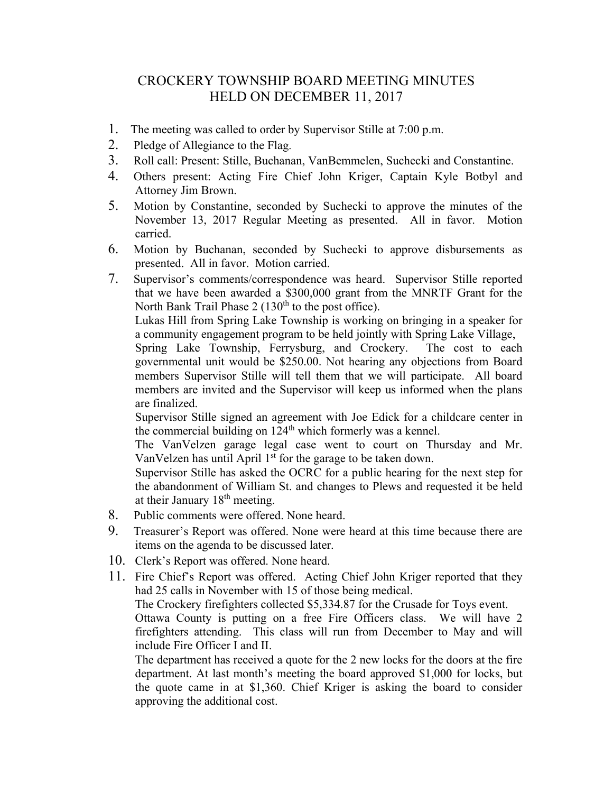## CROCKERY TOWNSHIP BOARD MEETING MINUTES HELD ON DECEMBER 11, 2017

- 1. The meeting was called to order by Supervisor Stille at 7:00 p.m.
- 2. Pledge of Allegiance to the Flag.
- 3. Roll call: Present: Stille, Buchanan, VanBemmelen, Suchecki and Constantine.
- 4. Others present: Acting Fire Chief John Kriger, Captain Kyle Botbyl and Attorney Jim Brown.
- 5. Motion by Constantine, seconded by Suchecki to approve the minutes of the November 13, 2017 Regular Meeting as presented. All in favor. Motion carried.
- 6. Motion by Buchanan, seconded by Suchecki to approve disbursements as presented. All in favor. Motion carried.
- 7. Supervisor's comments/correspondence was heard. Supervisor Stille reported that we have been awarded a \$300,000 grant from the MNRTF Grant for the North Bank Trail Phase  $2(130<sup>th</sup>$  to the post office).

Lukas Hill from Spring Lake Township is working on bringing in a speaker for a community engagement program to be held jointly with Spring Lake Village,

Spring Lake Township, Ferrysburg, and Crockery. The cost to each governmental unit would be \$250.00. Not hearing any objections from Board members Supervisor Stille will tell them that we will participate. All board members are invited and the Supervisor will keep us informed when the plans are finalized.

Supervisor Stille signed an agreement with Joe Edick for a childcare center in the commercial building on  $124<sup>th</sup>$  which formerly was a kennel.

The VanVelzen garage legal case went to court on Thursday and Mr. VanVelzen has until April  $1<sup>st</sup>$  for the garage to be taken down.

Supervisor Stille has asked the OCRC for a public hearing for the next step for the abandonment of William St. and changes to Plews and requested it be held at their January  $18<sup>th</sup>$  meeting.

- 8. Public comments were offered. None heard.
- 9. Treasurer's Report was offered. None were heard at this time because there are items on the agenda to be discussed later.
- 10. Clerk's Report was offered. None heard.
- 11. Fire Chief's Report was offered. Acting Chief John Kriger reported that they had 25 calls in November with 15 of those being medical.

The Crockery firefighters collected \$5,334.87 for the Crusade for Toys event.

Ottawa County is putting on a free Fire Officers class. We will have 2 firefighters attending. This class will run from December to May and will include Fire Officer I and II.

The department has received a quote for the 2 new locks for the doors at the fire department. At last month's meeting the board approved \$1,000 for locks, but the quote came in at \$1,360. Chief Kriger is asking the board to consider approving the additional cost.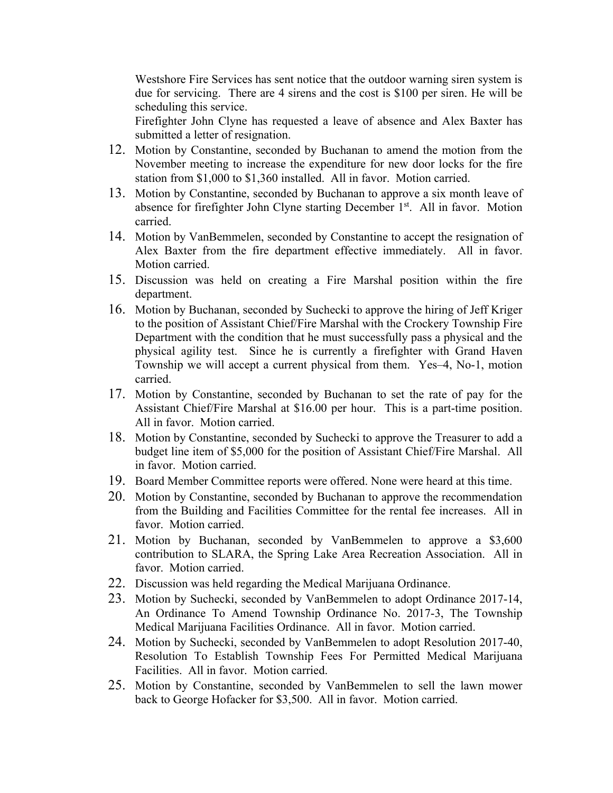Westshore Fire Services has sent notice that the outdoor warning siren system is due for servicing. There are 4 sirens and the cost is \$100 per siren. He will be scheduling this service.

Firefighter John Clyne has requested a leave of absence and Alex Baxter has submitted a letter of resignation.

- 12. Motion by Constantine, seconded by Buchanan to amend the motion from the November meeting to increase the expenditure for new door locks for the fire station from \$1,000 to \$1,360 installed. All in favor. Motion carried.
- 13. Motion by Constantine, seconded by Buchanan to approve a six month leave of absence for firefighter John Clyne starting December 1<sup>st</sup>. All in favor. Motion carried.
- 14. Motion by VanBemmelen, seconded by Constantine to accept the resignation of Alex Baxter from the fire department effective immediately. All in favor. Motion carried.
- 15. Discussion was held on creating a Fire Marshal position within the fire department.
- 16. Motion by Buchanan, seconded by Suchecki to approve the hiring of Jeff Kriger to the position of Assistant Chief/Fire Marshal with the Crockery Township Fire Department with the condition that he must successfully pass a physical and the physical agility test. Since he is currently a firefighter with Grand Haven Township we will accept a current physical from them. Yes–4, No-1, motion carried.
- 17. Motion by Constantine, seconded by Buchanan to set the rate of pay for the Assistant Chief/Fire Marshal at \$16.00 per hour. This is a part-time position. All in favor. Motion carried.
- 18. Motion by Constantine, seconded by Suchecki to approve the Treasurer to add a budget line item of \$5,000 for the position of Assistant Chief/Fire Marshal. All in favor. Motion carried.
- 19. Board Member Committee reports were offered. None were heard at this time.
- 20. Motion by Constantine, seconded by Buchanan to approve the recommendation from the Building and Facilities Committee for the rental fee increases. All in favor. Motion carried.
- 21. Motion by Buchanan, seconded by VanBemmelen to approve a \$3,600 contribution to SLARA, the Spring Lake Area Recreation Association. All in favor. Motion carried.
- 22. Discussion was held regarding the Medical Marijuana Ordinance.
- 23. Motion by Suchecki, seconded by VanBemmelen to adopt Ordinance 2017-14, An Ordinance To Amend Township Ordinance No. 2017-3, The Township Medical Marijuana Facilities Ordinance. All in favor. Motion carried.
- 24. Motion by Suchecki, seconded by VanBemmelen to adopt Resolution 2017-40, Resolution To Establish Township Fees For Permitted Medical Marijuana Facilities. All in favor. Motion carried.
- 25. Motion by Constantine, seconded by VanBemmelen to sell the lawn mower back to George Hofacker for \$3,500. All in favor. Motion carried.